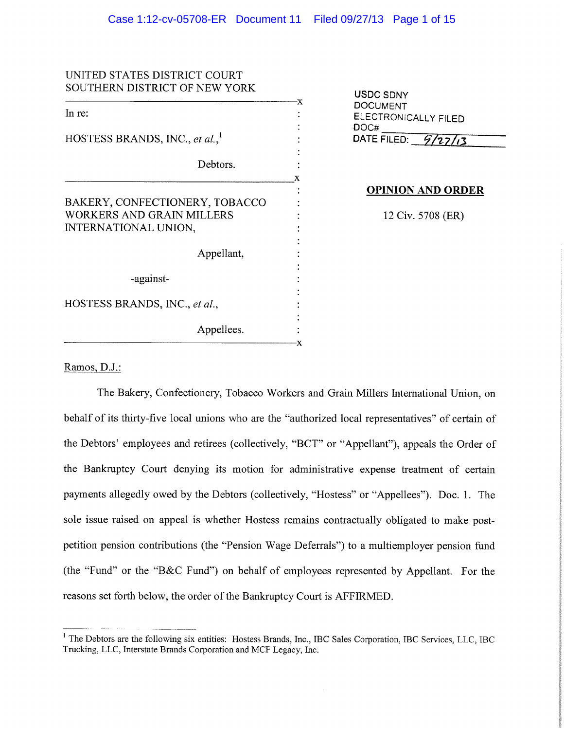| UNITED STATES DISTRICT COURT<br>SOUTHERN DISTRICT OF NEW YORK |                                         |
|---------------------------------------------------------------|-----------------------------------------|
|                                                               | USDC SDNY<br>-X                         |
| In re:                                                        | <b>DOCUMENT</b><br>ELECTRONICALLY FILED |
|                                                               | DOC#                                    |
| HOSTESS BRANDS, INC., et al.,                                 | DATE FILED: $9/27/3$                    |
| Debtors.                                                      |                                         |
|                                                               | x<br><b>OPINION AND ORDER</b>           |
| BAKERY, CONFECTIONERY, TOBACCO                                |                                         |
| <b>WORKERS AND GRAIN MILLERS</b>                              | 12 Civ. 5708 (ER)                       |
| INTERNATIONAL UNION,                                          |                                         |
|                                                               |                                         |
| Appellant,                                                    |                                         |
| -against-                                                     |                                         |
| HOSTESS BRANDS, INC., et al.,                                 |                                         |
| Appellees.                                                    |                                         |
|                                                               | -X                                      |

Ramos, D.J.:

The Bakery, Confectionery, Tobacco Workers and Grain Millers International Union, on behalf of its thirty-five local unions who are the "authorized local representatives" of certain of the Debtors' employees and retirees (collectively, "BCT" or "Appellant"), appeals the Order of the Bankruptcy Court denying its motion for administrative expense treatment of certain payments allegedly owed by the Debtors (collectively, "Hostess" or "Appellees"). Doc. 1. The sole issue raised on appeal is whether Hostess remains contractually obligated to make postpetition pension contributions (the "Pension Wage Deferrals") to a multiemployer pension fund (the "Fund" or the "B&C Fund") on behalf of employees represented by Appellant. For the reasons set forth below, the order of the Bankruptcy Court is AFFIRMED.

<sup>&</sup>lt;sup>1</sup> The Debtors are the following six entities: Hostess Brands, Inc., IBC Sales Corporation, IBC Services, LLC, IBC Trucking, LLC, Interstate Brands Corporation and MCF Legacy, Inc.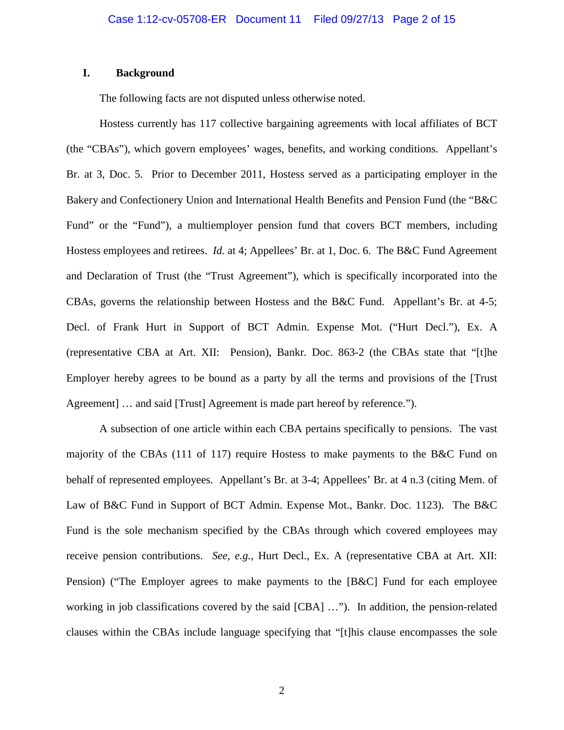# **I. Background**

The following facts are not disputed unless otherwise noted.

Hostess currently has 117 collective bargaining agreements with local affiliates of BCT (the "CBAs"), which govern employees' wages, benefits, and working conditions. Appellant's Br. at 3, Doc. 5. Prior to December 2011, Hostess served as a participating employer in the Bakery and Confectionery Union and International Health Benefits and Pension Fund (the "B&C Fund" or the "Fund"), a multiemployer pension fund that covers BCT members, including Hostess employees and retirees. *Id.* at 4; Appellees' Br. at 1, Doc. 6. The B&C Fund Agreement and Declaration of Trust (the "Trust Agreement"), which is specifically incorporated into the CBAs, governs the relationship between Hostess and the B&C Fund. Appellant's Br. at 4-5; Decl. of Frank Hurt in Support of BCT Admin. Expense Mot. ("Hurt Decl."), Ex. A (representative CBA at Art. XII: Pension), Bankr. Doc. 863-2 (the CBAs state that "[t]he Employer hereby agrees to be bound as a party by all the terms and provisions of the [Trust Agreement  $\vert \ldots \vert$  and said [Trust] Agreement is made part hereof by reference.").

A subsection of one article within each CBA pertains specifically to pensions. The vast majority of the CBAs (111 of 117) require Hostess to make payments to the B&C Fund on behalf of represented employees. Appellant's Br. at 3-4; Appellees' Br. at 4 n.3 (citing Mem. of Law of B&C Fund in Support of BCT Admin. Expense Mot., Bankr. Doc. 1123). The B&C Fund is the sole mechanism specified by the CBAs through which covered employees may receive pension contributions. *See, e.g.*, Hurt Decl., Ex. A (representative CBA at Art. XII: Pension) ("The Employer agrees to make payments to the [B&C] Fund for each employee working in job classifications covered by the said [CBA] …"). In addition, the pension-related clauses within the CBAs include language specifying that "[t]his clause encompasses the sole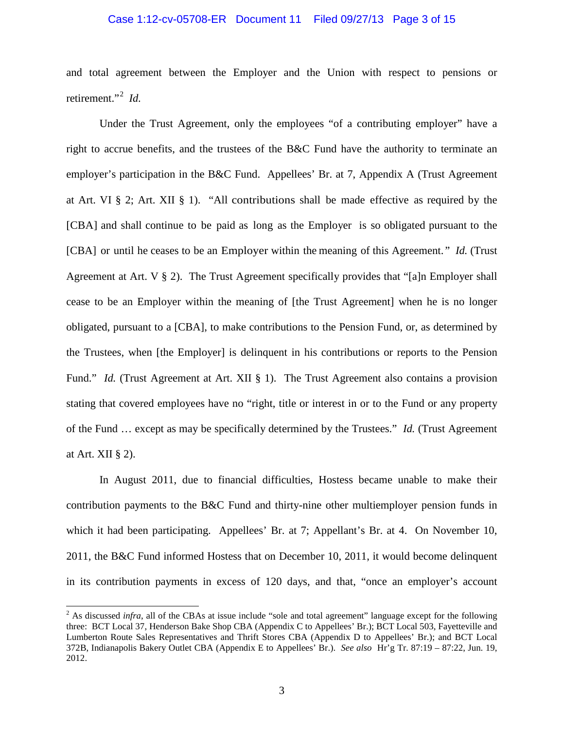# Case 1:12-cv-05708-ER Document 11 Filed 09/27/13 Page 3 of 15

and total agreement between the Employer and the Union with respect to pensions or retirement."[2](#page-2-0) *Id.*

Under the Trust Agreement, only the employees "of a contributing employer" have a right to accrue benefits, and the trustees of the B&C Fund have the authority to terminate an employer's participation in the B&C Fund. Appellees' Br. at 7, Appendix A (Trust Agreement at Art. VI § 2; Art. XII § 1). "All contributions shall be made effective as required by the [CBA] and shall continue to be paid as long as the Employer is so obligated pursuant to the [CBA] or until he ceases to be an Employer within the meaning of this Agreement." *Id.* (Trust Agreement at Art. V § 2). The Trust Agreement specifically provides that "[a]n Employer shall cease to be an Employer within the meaning of [the Trust Agreement] when he is no longer obligated, pursuant to a [CBA], to make contributions to the Pension Fund, or, as determined by the Trustees, when [the Employer] is delinquent in his contributions or reports to the Pension Fund." *Id.* (Trust Agreement at Art. XII § 1). The Trust Agreement also contains a provision stating that covered employees have no "right, title or interest in or to the Fund or any property of the Fund … except as may be specifically determined by the Trustees." *Id.* (Trust Agreement at Art. XII § 2).

In August 2011, due to financial difficulties, Hostess became unable to make their contribution payments to the B&C Fund and thirty-nine other multiemployer pension funds in which it had been participating. Appellees' Br. at 7; Appellant's Br. at 4. On November 10, 2011, the B&C Fund informed Hostess that on December 10, 2011, it would become delinquent in its contribution payments in excess of 120 days, and that, "once an employer's account

<span id="page-2-0"></span><sup>&</sup>lt;sup>2</sup> As discussed *infra*, all of the CBAs at issue include "sole and total agreement" language except for the following three: BCT Local 37, Henderson Bake Shop CBA (Appendix C to Appellees' Br.); BCT Local 503, Fayetteville and Lumberton Route Sales Representatives and Thrift Stores CBA (Appendix D to Appellees' Br.); and BCT Local 372B, Indianapolis Bakery Outlet CBA (Appendix E to Appellees' Br.). *See also* Hr'g Tr. 87:19 – 87:22, Jun. 19, 2012.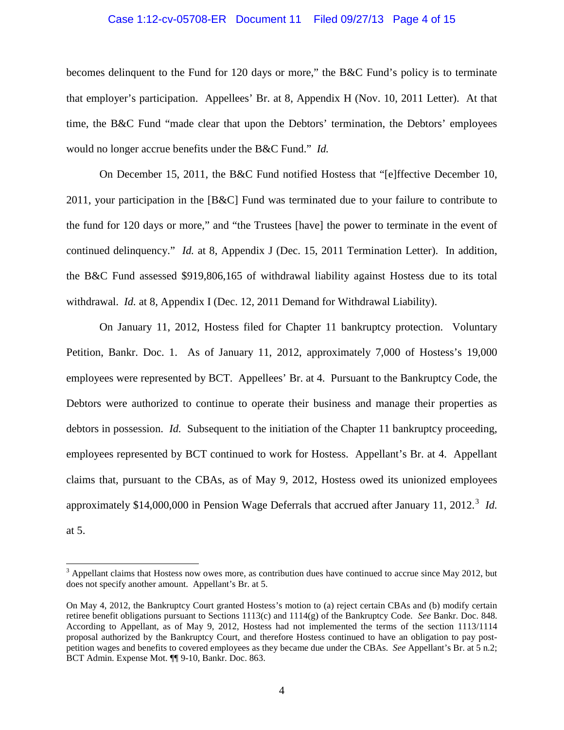# Case 1:12-cv-05708-ER Document 11 Filed 09/27/13 Page 4 of 15

becomes delinquent to the Fund for 120 days or more," the B&C Fund's policy is to terminate that employer's participation. Appellees' Br. at 8, Appendix H (Nov. 10, 2011 Letter). At that time, the B&C Fund "made clear that upon the Debtors' termination, the Debtors' employees would no longer accrue benefits under the B&C Fund." *Id.*

On December 15, 2011, the B&C Fund notified Hostess that "[e]ffective December 10, 2011, your participation in the [B&C] Fund was terminated due to your failure to contribute to the fund for 120 days or more," and "the Trustees [have] the power to terminate in the event of continued delinquency." *Id.* at 8, Appendix J (Dec. 15, 2011 Termination Letter). In addition, the B&C Fund assessed \$919,806,165 of withdrawal liability against Hostess due to its total withdrawal. *Id.* at 8, Appendix I (Dec. 12, 2011 Demand for Withdrawal Liability).

On January 11, 2012, Hostess filed for Chapter 11 bankruptcy protection. Voluntary Petition, Bankr. Doc. 1. As of January 11, 2012, approximately 7,000 of Hostess's 19,000 employees were represented by BCT. Appellees' Br. at 4. Pursuant to the Bankruptcy Code, the Debtors were authorized to continue to operate their business and manage their properties as debtors in possession. *Id.* Subsequent to the initiation of the Chapter 11 bankruptcy proceeding, employees represented by BCT continued to work for Hostess. Appellant's Br. at 4. Appellant claims that, pursuant to the CBAs, as of May 9, 2012, Hostess owed its unionized employees approximately \$14,000,000 in Pension Wage Deferrals that accrued after January 11, 2012.<sup>[3](#page-3-0)</sup> Id. at 5.

<span id="page-3-0"></span> $3$  Appellant claims that Hostess now owes more, as contribution dues have continued to accrue since May 2012, but does not specify another amount. Appellant's Br. at 5.

On May 4, 2012, the Bankruptcy Court granted Hostess's motion to (a) reject certain CBAs and (b) modify certain retiree benefit obligations pursuant to Sections 1113(c) and 1114(g) of the Bankruptcy Code. *See* Bankr. Doc. 848. According to Appellant, as of May 9, 2012, Hostess had not implemented the terms of the section 1113/1114 proposal authorized by the Bankruptcy Court, and therefore Hostess continued to have an obligation to pay postpetition wages and benefits to covered employees as they became due under the CBAs. *See* Appellant's Br. at 5 n.2; BCT Admin. Expense Mot. ¶¶ 9-10, Bankr. Doc. 863.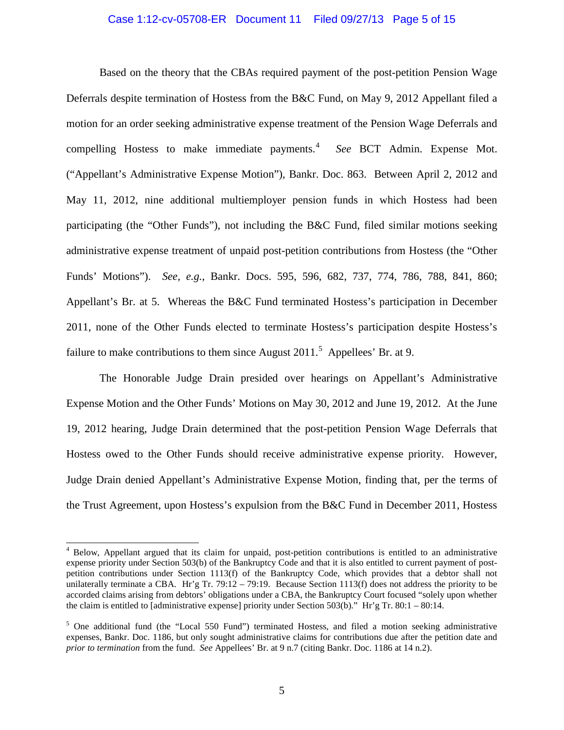# Case 1:12-cv-05708-ER Document 11 Filed 09/27/13 Page 5 of 15

Based on the theory that the CBAs required payment of the post-petition Pension Wage Deferrals despite termination of Hostess from the B&C Fund, on May 9, 2012 Appellant filed a motion for an order seeking administrative expense treatment of the Pension Wage Deferrals and compelling Hostess to make immediate payments. [4](#page-4-0) *See* BCT Admin. Expense Mot. ("Appellant's Administrative Expense Motion"), Bankr. Doc. 863. Between April 2, 2012 and May 11, 2012, nine additional multiemployer pension funds in which Hostess had been participating (the "Other Funds"), not including the B&C Fund, filed similar motions seeking administrative expense treatment of unpaid post-petition contributions from Hostess (the "Other Funds' Motions"). *See, e.g.*, Bankr. Docs. 595, 596, 682, 737, 774, 786, 788, 841, 860; Appellant's Br. at 5. Whereas the B&C Fund terminated Hostess's participation in December 2011, none of the Other Funds elected to terminate Hostess's participation despite Hostess's failure to make contributions to them since August  $2011<sup>5</sup>$  $2011<sup>5</sup>$  $2011<sup>5</sup>$  Appellees' Br. at 9.

The Honorable Judge Drain presided over hearings on Appellant's Administrative Expense Motion and the Other Funds' Motions on May 30, 2012 and June 19, 2012. At the June 19, 2012 hearing, Judge Drain determined that the post-petition Pension Wage Deferrals that Hostess owed to the Other Funds should receive administrative expense priority. However, Judge Drain denied Appellant's Administrative Expense Motion, finding that, per the terms of the Trust Agreement, upon Hostess's expulsion from the B&C Fund in December 2011, Hostess

<span id="page-4-0"></span> <sup>4</sup> Below, Appellant argued that its claim for unpaid, post-petition contributions is entitled to an administrative expense priority under Section 503(b) of the Bankruptcy Code and that it is also entitled to current payment of postpetition contributions under Section 1113(f) of the Bankruptcy Code, which provides that a debtor shall not unilaterally terminate a CBA. Hr'g Tr. 79:12 – 79:19. Because Section 1113(f) does not address the priority to be accorded claims arising from debtors' obligations under a CBA, the Bankruptcy Court focused "solely upon whether the claim is entitled to [administrative expense] priority under Section 503(b)." Hr'g Tr. 80:1 – 80:14.

<span id="page-4-1"></span> $<sup>5</sup>$  One additional fund (the "Local 550 Fund") terminated Hostess, and filed a motion seeking administrative</sup> expenses, Bankr. Doc. 1186, but only sought administrative claims for contributions due after the petition date and *prior to termination* from the fund. *See* Appellees' Br. at 9 n.7 (citing Bankr. Doc. 1186 at 14 n.2).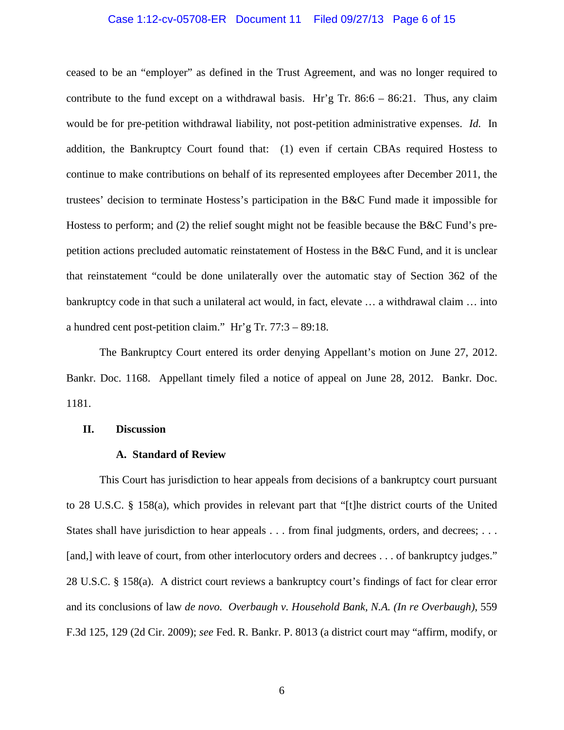# Case 1:12-cv-05708-ER Document 11 Filed 09/27/13 Page 6 of 15

ceased to be an "employer" as defined in the Trust Agreement, and was no longer required to contribute to the fund except on a withdrawal basis. Hr'g Tr.  $86:6 - 86:21$ . Thus, any claim would be for pre-petition withdrawal liability, not post-petition administrative expenses. *Id.* In addition, the Bankruptcy Court found that: (1) even if certain CBAs required Hostess to continue to make contributions on behalf of its represented employees after December 2011, the trustees' decision to terminate Hostess's participation in the B&C Fund made it impossible for Hostess to perform; and (2) the relief sought might not be feasible because the B&C Fund's prepetition actions precluded automatic reinstatement of Hostess in the B&C Fund, and it is unclear that reinstatement "could be done unilaterally over the automatic stay of Section 362 of the bankruptcy code in that such a unilateral act would, in fact, elevate … a withdrawal claim … into a hundred cent post-petition claim." Hr'g Tr. 77:3 – 89:18.

The Bankruptcy Court entered its order denying Appellant's motion on June 27, 2012. Bankr. Doc. 1168. Appellant timely filed a notice of appeal on June 28, 2012. Bankr. Doc. 1181.

#### **II. Discussion**

#### **A. Standard of Review**

This Court has jurisdiction to hear appeals from decisions of a bankruptcy court pursuant to 28 U.S.C. § 158(a), which provides in relevant part that "[t]he district courts of the United States shall have jurisdiction to hear appeals . . . from final judgments, orders, and decrees; . . . [and,] with leave of court, from other interlocutory orders and decrees ... of bankruptcy judges." 28 U.S.C. § 158(a). A district court reviews a bankruptcy court's findings of fact for clear error and its conclusions of law *de novo. Overbaugh v. Household Bank, N.A. (In re Overbaugh)*, 559 F.3d 125, 129 (2d Cir. 2009); *see* Fed. R. Bankr. P. 8013 (a district court may "affirm, modify, or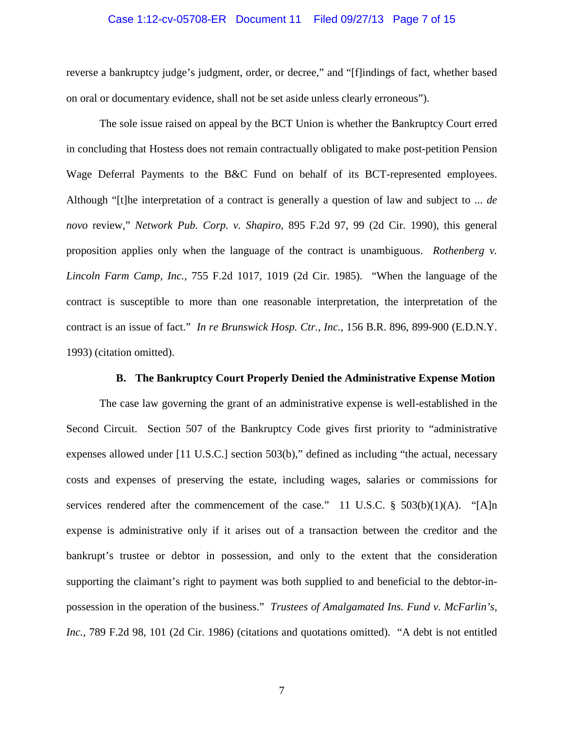## Case 1:12-cv-05708-ER Document 11 Filed 09/27/13 Page 7 of 15

reverse a bankruptcy judge's judgment, order, or decree," and "[f]indings of fact, whether based on oral or documentary evidence, shall not be set aside unless clearly erroneous").

The sole issue raised on appeal by the BCT Union is whether the Bankruptcy Court erred in concluding that Hostess does not remain contractually obligated to make post-petition Pension Wage Deferral Payments to the B&C Fund on behalf of its BCT-represented employees. Although "[t]he interpretation of a contract is generally a question of law and subject to ... *de novo* review," *Network Pub. Corp. v. Shapiro*, 895 F.2d 97, 99 (2d Cir. 1990), this general proposition applies only when the language of the contract is unambiguous. *Rothenberg v. Lincoln Farm Camp, Inc.*, 755 F.2d 1017, 1019 (2d Cir. 1985). "When the language of the contract is susceptible to more than one reasonable interpretation, the interpretation of the contract is an issue of fact." *In re Brunswick Hosp. Ctr., Inc.*, 156 B.R. 896, 899-900 (E.D.N.Y. 1993) (citation omitted).

# **B. The Bankruptcy Court Properly Denied the Administrative Expense Motion**

The case law governing the grant of an administrative expense is well-established in the Second Circuit. Section 507 of the Bankruptcy Code gives first priority to "administrative expenses allowed under [11 U.S.C.] section 503(b)," defined as including "the actual, necessary costs and expenses of preserving the estate, including wages, salaries or commissions for services rendered after the commencement of the case." 11 U.S.C.  $\S$  503(b)(1)(A). "[A]n expense is administrative only if it arises out of a transaction between the creditor and the bankrupt's trustee or debtor in possession, and only to the extent that the consideration supporting the claimant's right to payment was both supplied to and beneficial to the debtor-inpossession in the operation of the business." *Trustees of Amalgamated Ins. Fund v. McFarlin's, Inc.*, 789 F.2d 98, 101 (2d Cir. 1986) (citations and quotations omitted). "A debt is not entitled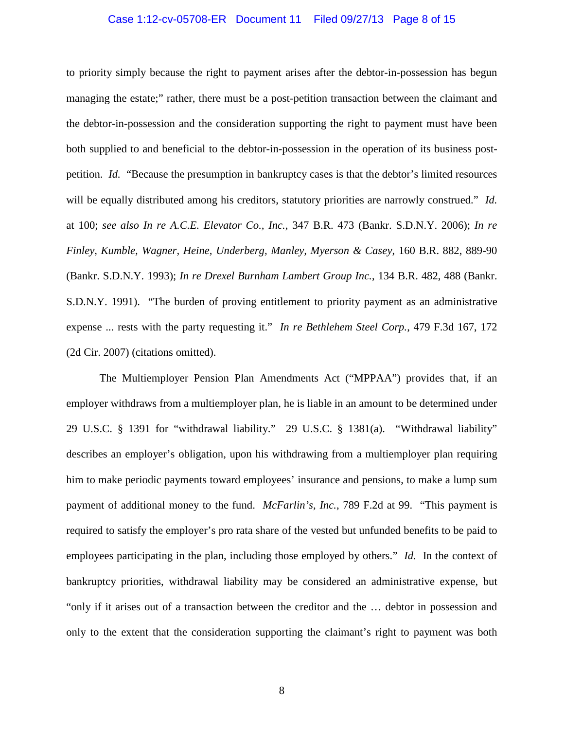# Case 1:12-cv-05708-ER Document 11 Filed 09/27/13 Page 8 of 15

to priority simply because the right to payment arises after the debtor-in-possession has begun managing the estate;" rather, there must be a post-petition transaction between the claimant and the debtor-in-possession and the consideration supporting the right to payment must have been both supplied to and beneficial to the debtor-in-possession in the operation of its business postpetition. *Id.* "Because the presumption in bankruptcy cases is that the debtor's limited resources will be equally distributed among his creditors, statutory priorities are narrowly construed." *Id.* at 100; *see also In re A.C.E. Elevator Co., Inc.*, 347 B.R. 473 (Bankr. S.D.N.Y. 2006); *In re Finley, Kumble, Wagner, Heine, Underberg, Manley, Myerson & Casey*, 160 B.R. 882, 889-90 (Bankr. S.D.N.Y. 1993); *In re Drexel Burnham Lambert Group Inc.*, 134 B.R. 482, 488 (Bankr. S.D.N.Y. 1991). "The burden of proving entitlement to priority payment as an administrative expense ... rests with the party requesting it." *In re Bethlehem Steel Corp.*, 479 F.3d 167, 172 (2d Cir. 2007) (citations omitted).

The Multiemployer Pension Plan Amendments Act ("MPPAA") provides that, if an employer withdraws from a multiemployer plan, he is liable in an amount to be determined under 29 U.S.C. § 1391 for "withdrawal liability." 29 U.S.C. § 1381(a). "Withdrawal liability" describes an employer's obligation, upon his withdrawing from a multiemployer plan requiring him to make periodic payments toward employees' insurance and pensions, to make a lump sum payment of additional money to the fund. *McFarlin's, Inc.*, 789 F.2d at 99. "This payment is required to satisfy the employer's pro rata share of the vested but unfunded benefits to be paid to employees participating in the plan, including those employed by others." *Id.* In the context of bankruptcy priorities, withdrawal liability may be considered an administrative expense, but "only if it arises out of a transaction between the creditor and the … debtor in possession and only to the extent that the consideration supporting the claimant's right to payment was both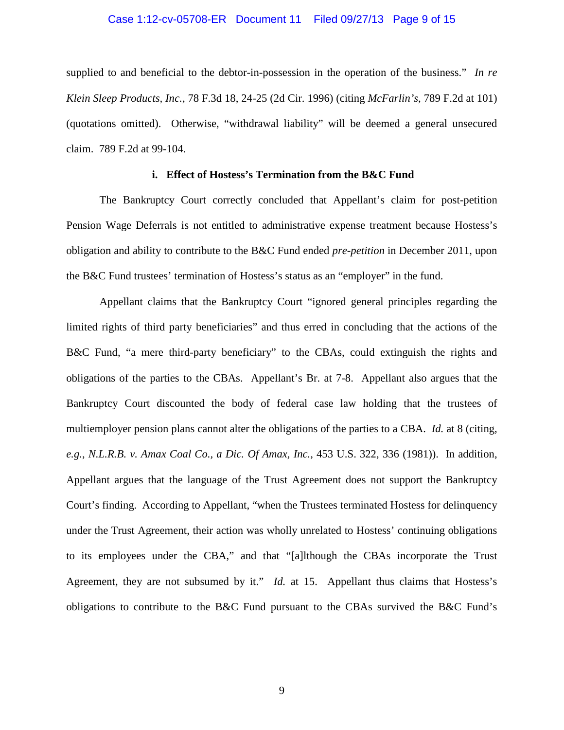### Case 1:12-cv-05708-ER Document 11 Filed 09/27/13 Page 9 of 15

supplied to and beneficial to the debtor-in-possession in the operation of the business." *In re Klein Sleep Products, Inc.*, 78 F.3d 18, 24-25 (2d Cir. 1996) (citing *McFarlin's*, 789 F.2d at 101) (quotations omitted). Otherwise, "withdrawal liability" will be deemed a general unsecured claim. 789 F.2d at 99-104.

# **i. Effect of Hostess's Termination from the B&C Fund**

The Bankruptcy Court correctly concluded that Appellant's claim for post-petition Pension Wage Deferrals is not entitled to administrative expense treatment because Hostess's obligation and ability to contribute to the B&C Fund ended *pre-petition* in December 2011, upon the B&C Fund trustees' termination of Hostess's status as an "employer" in the fund.

Appellant claims that the Bankruptcy Court "ignored general principles regarding the limited rights of third party beneficiaries" and thus erred in concluding that the actions of the B&C Fund, "a mere third-party beneficiary" to the CBAs, could extinguish the rights and obligations of the parties to the CBAs. Appellant's Br. at 7-8. Appellant also argues that the Bankruptcy Court discounted the body of federal case law holding that the trustees of multiemployer pension plans cannot alter the obligations of the parties to a CBA. *Id.* at 8 (citing, *e.g.*, *N.L.R.B. v. Amax Coal Co., a Dic. Of Amax, Inc.*, 453 U.S. 322, 336 (1981)). In addition, Appellant argues that the language of the Trust Agreement does not support the Bankruptcy Court's finding. According to Appellant, "when the Trustees terminated Hostess for delinquency under the Trust Agreement, their action was wholly unrelated to Hostess' continuing obligations to its employees under the CBA," and that "[a]lthough the CBAs incorporate the Trust Agreement, they are not subsumed by it." *Id.* at 15.Appellant thus claims that Hostess's obligations to contribute to the B&C Fund pursuant to the CBAs survived the B&C Fund's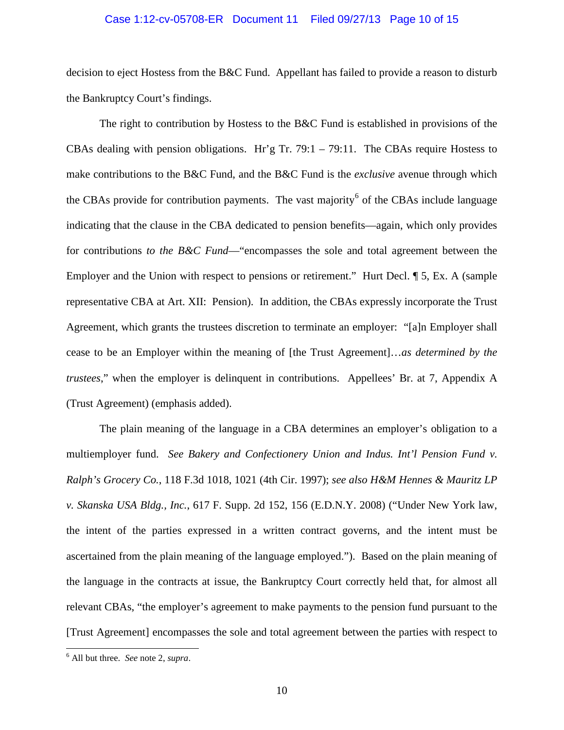# Case 1:12-cv-05708-ER Document 11 Filed 09/27/13 Page 10 of 15

decision to eject Hostess from the B&C Fund. Appellant has failed to provide a reason to disturb the Bankruptcy Court's findings.

The right to contribution by Hostess to the B&C Fund is established in provisions of the CBAs dealing with pension obligations. Hr'g Tr. 79:1 – 79:11. The CBAs require Hostess to make contributions to the B&C Fund, and the B&C Fund is the *exclusive* avenue through which the CBAs provide for contribution payments. The vast majority<sup>[6](#page-9-0)</sup> of the CBAs include language indicating that the clause in the CBA dedicated to pension benefits—again, which only provides for contributions *to the B&C Fund*—"encompasses the sole and total agreement between the Employer and the Union with respect to pensions or retirement." Hurt Decl.  $\P$  5, Ex. A (sample representative CBA at Art. XII: Pension). In addition, the CBAs expressly incorporate the Trust Agreement, which grants the trustees discretion to terminate an employer: "[a]n Employer shall cease to be an Employer within the meaning of [the Trust Agreement]…*as determined by the trustees*," when the employer is delinquent in contributions. Appellees' Br. at 7, Appendix A (Trust Agreement) (emphasis added).

The plain meaning of the language in a CBA determines an employer's obligation to a multiemployer fund. *See Bakery and Confectionery Union and Indus. Int'l Pension Fund v. Ralph's Grocery Co.*, 118 F.3d 1018, 1021 (4th Cir. 1997); *see also H&M Hennes & Mauritz LP v. Skanska USA Bldg., Inc.*, 617 F. Supp. 2d 152, 156 (E.D.N.Y. 2008) ("Under New York law, the intent of the parties expressed in a written contract governs, and the intent must be ascertained from the plain meaning of the language employed."). Based on the plain meaning of the language in the contracts at issue, the Bankruptcy Court correctly held that, for almost all relevant CBAs, "the employer's agreement to make payments to the pension fund pursuant to the [Trust Agreement] encompasses the sole and total agreement between the parties with respect to

<span id="page-9-0"></span> <sup>6</sup> All but three. *See* note 2, *supra*.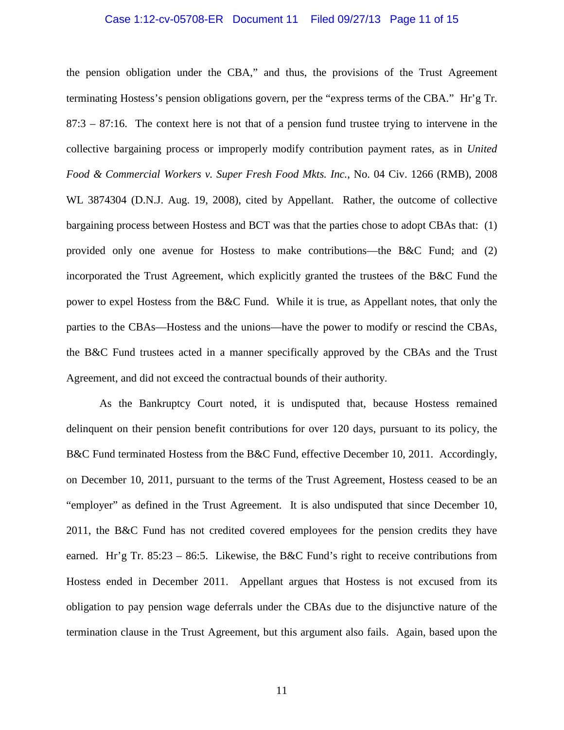# Case 1:12-cv-05708-ER Document 11 Filed 09/27/13 Page 11 of 15

the pension obligation under the CBA," and thus, the provisions of the Trust Agreement terminating Hostess's pension obligations govern, per the "express terms of the CBA." Hr'g Tr.  $87:3 - 87:16$ . The context here is not that of a pension fund trustee trying to intervene in the collective bargaining process or improperly modify contribution payment rates, as in *United Food & Commercial Workers v. Super Fresh Food Mkts. Inc.*, No. 04 Civ. 1266 (RMB), 2008 WL 3874304 (D.N.J. Aug. 19, 2008), cited by Appellant. Rather, the outcome of collective bargaining process between Hostess and BCT was that the parties chose to adopt CBAs that: (1) provided only one avenue for Hostess to make contributions—the B&C Fund; and (2) incorporated the Trust Agreement, which explicitly granted the trustees of the B&C Fund the power to expel Hostess from the B&C Fund. While it is true, as Appellant notes, that only the parties to the CBAs—Hostess and the unions—have the power to modify or rescind the CBAs, the B&C Fund trustees acted in a manner specifically approved by the CBAs and the Trust Agreement, and did not exceed the contractual bounds of their authority.

As the Bankruptcy Court noted, it is undisputed that, because Hostess remained delinquent on their pension benefit contributions for over 120 days, pursuant to its policy, the B&C Fund terminated Hostess from the B&C Fund, effective December 10, 2011. Accordingly, on December 10, 2011, pursuant to the terms of the Trust Agreement, Hostess ceased to be an "employer" as defined in the Trust Agreement. It is also undisputed that since December 10, 2011, the B&C Fund has not credited covered employees for the pension credits they have earned. Hr'g Tr. 85:23 – 86:5. Likewise, the B&C Fund's right to receive contributions from Hostess ended in December 2011. Appellant argues that Hostess is not excused from its obligation to pay pension wage deferrals under the CBAs due to the disjunctive nature of the termination clause in the Trust Agreement, but this argument also fails. Again, based upon the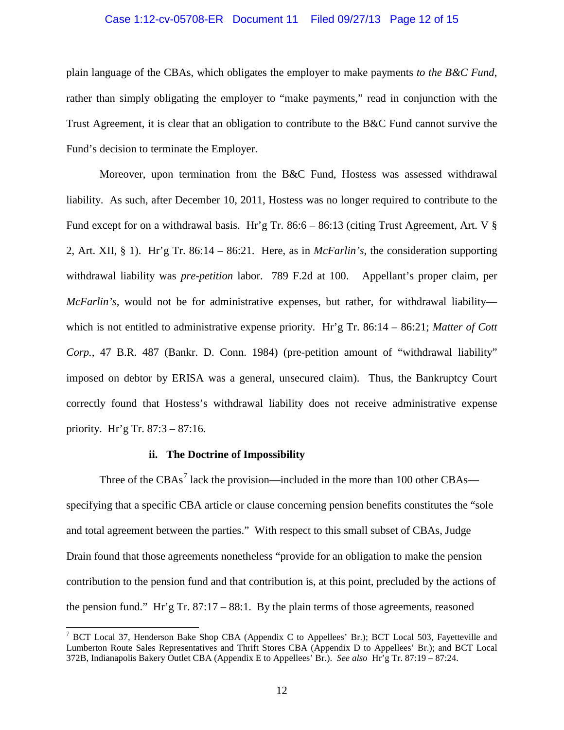# Case 1:12-cv-05708-ER Document 11 Filed 09/27/13 Page 12 of 15

plain language of the CBAs, which obligates the employer to make payments *to the B&C Fund*, rather than simply obligating the employer to "make payments," read in conjunction with the Trust Agreement, it is clear that an obligation to contribute to the B&C Fund cannot survive the Fund's decision to terminate the Employer.

Moreover, upon termination from the B&C Fund, Hostess was assessed withdrawal liability. As such, after December 10, 2011, Hostess was no longer required to contribute to the Fund except for on a withdrawal basis. Hr'g Tr. 86:6 – 86:13 (citing Trust Agreement, Art. V § 2, Art. XII, § 1). Hr'g Tr. 86:14 – 86:21. Here, as in *McFarlin's*, the consideration supporting withdrawal liability was *pre-petition* labor. 789 F.2d at 100. Appellant's proper claim, per *McFarlin's*, would not be for administrative expenses, but rather, for withdrawal liability which is not entitled to administrative expense priority. Hr'g Tr. 86:14 – 86:21; *Matter of Cott Corp.*, 47 B.R. 487 (Bankr. D. Conn. 1984) (pre-petition amount of "withdrawal liability" imposed on debtor by ERISA was a general, unsecured claim). Thus, the Bankruptcy Court correctly found that Hostess's withdrawal liability does not receive administrative expense priority. Hr'g Tr. 87:3 – 87:16.

### **ii. The Doctrine of Impossibility**

Three of the  $CBAs<sup>7</sup>$  $CBAs<sup>7</sup>$  $CBAs<sup>7</sup>$  lack the provision—included in the more than 100 other  $CBAs$  specifying that a specific CBA article or clause concerning pension benefits constitutes the "sole and total agreement between the parties." With respect to this small subset of CBAs, Judge Drain found that those agreements nonetheless "provide for an obligation to make the pension contribution to the pension fund and that contribution is, at this point, precluded by the actions of the pension fund." Hr'g Tr. 87:17 – 88:1.By the plain terms of those agreements, reasoned

<span id="page-11-0"></span><sup>&</sup>lt;sup>7</sup> BCT Local 37, Henderson Bake Shop CBA (Appendix C to Appellees' Br.); BCT Local 503, Fayetteville and Lumberton Route Sales Representatives and Thrift Stores CBA (Appendix D to Appellees' Br.); and BCT Local 372B, Indianapolis Bakery Outlet CBA (Appendix E to Appellees' Br.). *See also* Hr'g Tr. 87:19 – 87:24.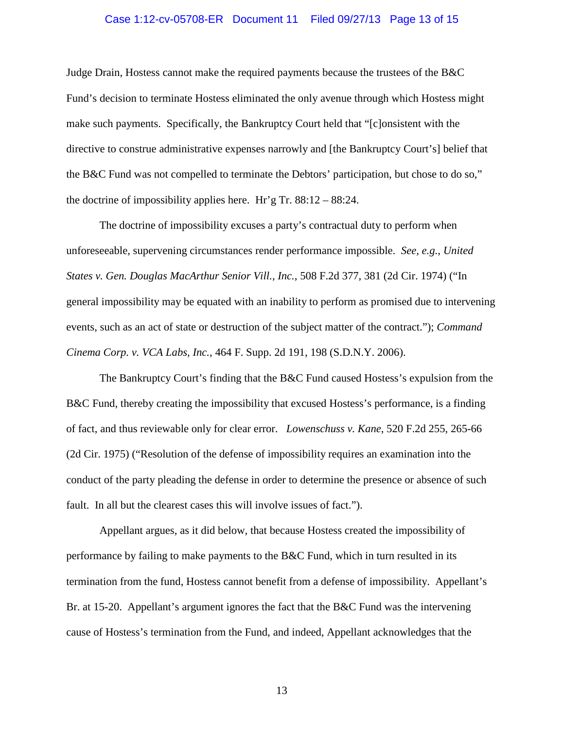# Case 1:12-cv-05708-ER Document 11 Filed 09/27/13 Page 13 of 15

Judge Drain, Hostess cannot make the required payments because the trustees of the B&C Fund's decision to terminate Hostess eliminated the only avenue through which Hostess might make such payments. Specifically, the Bankruptcy Court held that "[c]onsistent with the directive to construe administrative expenses narrowly and [the Bankruptcy Court's] belief that the B&C Fund was not compelled to terminate the Debtors' participation, but chose to do so," the doctrine of impossibility applies here. Hr'g Tr. 88:12 – 88:24.

The doctrine of impossibility excuses a party's contractual duty to perform when unforeseeable, supervening circumstances render performance impossible. *See, e.g.*, *United States v. Gen. Douglas MacArthur Senior Vill., Inc.*, 508 F.2d 377, 381 (2d Cir. 1974) ("In general impossibility may be equated with an inability to perform as promised due to intervening events, such as an act of state or destruction of the subject matter of the contract."); *Command Cinema Corp. v. VCA Labs, Inc.*, 464 F. Supp. 2d 191, 198 (S.D.N.Y. 2006).

The Bankruptcy Court's finding that the B&C Fund caused Hostess's expulsion from the B&C Fund, thereby creating the impossibility that excused Hostess's performance, is a finding of fact, and thus reviewable only for clear error. *Lowenschuss v. Kane*, 520 F.2d 255, 265-66 (2d Cir. 1975) ("Resolution of the defense of impossibility requires an examination into the conduct of the party pleading the defense in order to determine the presence or absence of such fault. In all but the clearest cases this will involve issues of fact.").

Appellant argues, as it did below, that because Hostess created the impossibility of performance by failing to make payments to the B&C Fund, which in turn resulted in its termination from the fund, Hostess cannot benefit from a defense of impossibility. Appellant's Br. at 15-20. Appellant's argument ignores the fact that the B&C Fund was the intervening cause of Hostess's termination from the Fund, and indeed, Appellant acknowledges that the

13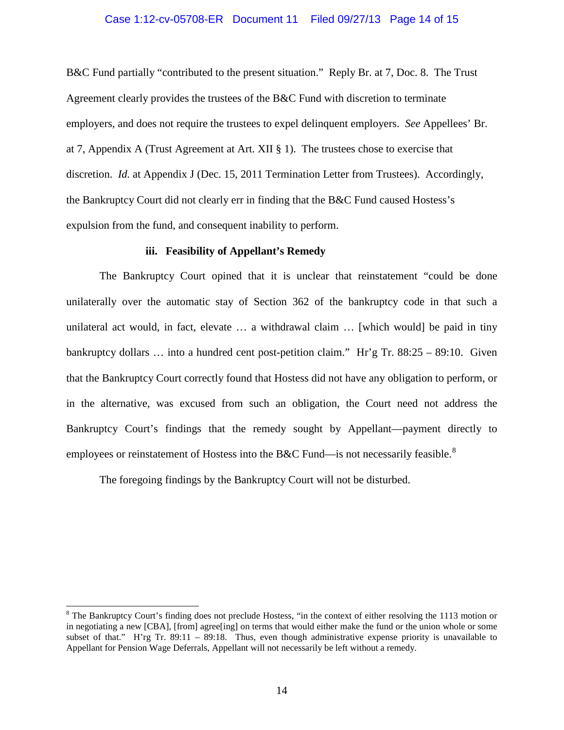# Case 1:12-cv-05708-ER Document 11 Filed 09/27/13 Page 14 of 15

B&C Fund partially "contributed to the present situation." Reply Br. at 7, Doc. 8. The Trust Agreement clearly provides the trustees of the B&C Fund with discretion to terminate employers, and does not require the trustees to expel delinquent employers. *See* Appellees' Br. at 7, Appendix A (Trust Agreement at Art. XII § 1). The trustees chose to exercise that discretion. *Id.* at Appendix J (Dec. 15, 2011 Termination Letter from Trustees). Accordingly, the Bankruptcy Court did not clearly err in finding that the B&C Fund caused Hostess's expulsion from the fund, and consequent inability to perform.

# **iii. Feasibility of Appellant's Remedy**

The Bankruptcy Court opined that it is unclear that reinstatement "could be done unilaterally over the automatic stay of Section 362 of the bankruptcy code in that such a unilateral act would, in fact, elevate … a withdrawal claim … [which would] be paid in tiny bankruptcy dollars … into a hundred cent post-petition claim." Hr'g Tr. 88:25 – 89:10. Given that the Bankruptcy Court correctly found that Hostess did not have any obligation to perform, or in the alternative, was excused from such an obligation, the Court need not address the Bankruptcy Court's findings that the remedy sought by Appellant—payment directly to employees or reinstatement of Hostess into the B&C Fund—is not necessarily feasible.<sup>[8](#page-13-0)</sup>

The foregoing findings by the Bankruptcy Court will not be disturbed.

<span id="page-13-0"></span><sup>&</sup>lt;sup>8</sup> The Bankruptcy Court's finding does not preclude Hostess, "in the context of either resolving the 1113 motion or in negotiating a new [CBA], [from] agree[ing] on terms that would either make the fund or the union whole or some subset of that." H'rg Tr. 89:11 – 89:18. Thus, even though administrative expense priority is unavailable to Appellant for Pension Wage Deferrals, Appellant will not necessarily be left without a remedy.